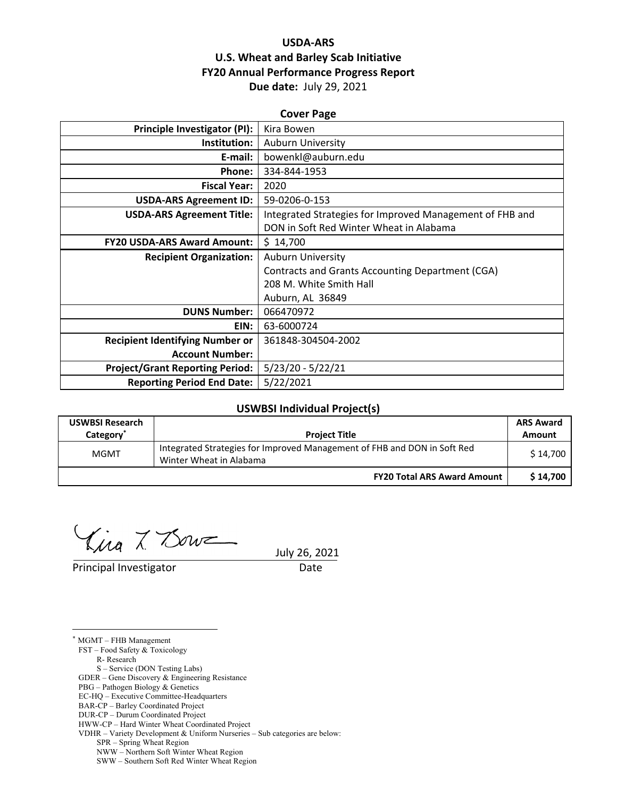## **USDA‐ARS U.S. Wheat and Barley Scab Initiative FY20 Annual Performance Progress Report Due date:** July 29, 2021

| <b>Cover Page</b>                      |                                                          |  |  |
|----------------------------------------|----------------------------------------------------------|--|--|
| <b>Principle Investigator (PI):</b>    | Kira Bowen                                               |  |  |
| Institution:                           | <b>Auburn University</b>                                 |  |  |
| E-mail:                                | bowenkl@auburn.edu                                       |  |  |
| Phone:                                 | 334-844-1953                                             |  |  |
| <b>Fiscal Year:</b>                    | 2020                                                     |  |  |
| <b>USDA-ARS Agreement ID:</b>          | 59-0206-0-153                                            |  |  |
| <b>USDA-ARS Agreement Title:</b>       | Integrated Strategies for Improved Management of FHB and |  |  |
|                                        | DON in Soft Red Winter Wheat in Alabama                  |  |  |
| <b>FY20 USDA-ARS Award Amount:</b>     | \$14,700                                                 |  |  |
| <b>Recipient Organization:</b>         | <b>Auburn University</b>                                 |  |  |
|                                        | Contracts and Grants Accounting Department (CGA)         |  |  |
|                                        | 208 M. White Smith Hall                                  |  |  |
|                                        | Auburn, AL 36849                                         |  |  |
| <b>DUNS Number:</b>                    | 066470972                                                |  |  |
| EIN:                                   | 63-6000724                                               |  |  |
| <b>Recipient Identifying Number or</b> | 361848-304504-2002                                       |  |  |
| <b>Account Number:</b>                 |                                                          |  |  |
| <b>Project/Grant Reporting Period:</b> | $5/23/20 - 5/22/21$                                      |  |  |
| <b>Reporting Period End Date:</b>      | 5/22/2021                                                |  |  |

#### **USWBSI Individual Project(s)**

| <b>USWBSI Research</b><br>Category <sup>*</sup> | <b>Project Title</b>                                                                                | <b>ARS Award</b><br>Amount |
|-------------------------------------------------|-----------------------------------------------------------------------------------------------------|----------------------------|
| <b>MGMT</b>                                     | Integrated Strategies for Improved Management of FHB and DON in Soft Red<br>Winter Wheat in Alabama | \$14.700                   |
|                                                 | <b>FY20 Total ARS Award Amount</b>                                                                  | \$14.700                   |

 $\lim_{x\to 0} \frac{x}{\sqrt{2}}$   $\lim_{x\to 0}$  26, 2021

Principal Investigator **Date** 

<u>.</u>

\* MGMT – FHB Management FST – Food Safety & Toxicology R- Research S – Service (DON Testing Labs) GDER – Gene Discovery & Engineering Resistance PBG – Pathogen Biology & Genetics EC-HQ – Executive Committee-Headquarters BAR-CP – Barley Coordinated Project DUR-CP – Durum Coordinated Project HWW-CP – Hard Winter Wheat Coordinated Project VDHR – Variety Development & Uniform Nurseries – Sub categories are below: SPR – Spring Wheat Region NWW – Northern Soft Winter Wheat Region

SWW – Southern Soft Red Winter Wheat Region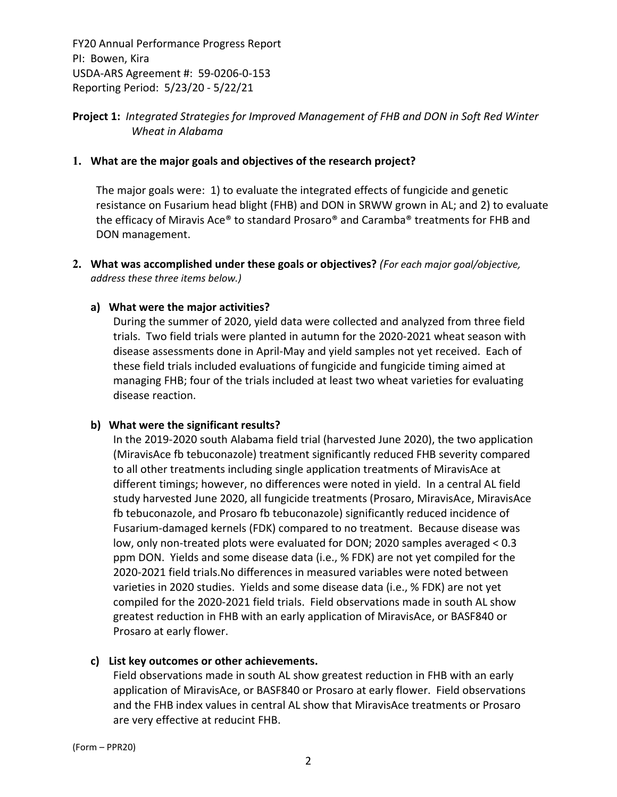## **Project 1:** *Integrated Strategies for Improved Management of FHB and DON in Soft Red Winter Wheat in Alabama*

#### **1. What are the major goals and objectives of the research project?**

The major goals were: 1) to evaluate the integrated effects of fungicide and genetic resistance on Fusarium head blight (FHB) and DON in SRWW grown in AL; and 2) to evaluate the efficacy of Miravis Ace® to standard Prosaro® and Caramba® treatments for FHB and DON management.

**2. What was accomplished under these goals or objectives?** *(For each major goal/objective, address these three items below.)*

#### **a) What were the major activities?**

During the summer of 2020, yield data were collected and analyzed from three field trials. Two field trials were planted in autumn for the 2020‐2021 wheat season with disease assessments done in April‐May and yield samples not yet received. Each of these field trials included evaluations of fungicide and fungicide timing aimed at managing FHB; four of the trials included at least two wheat varieties for evaluating disease reaction.

#### **b) What were the significant results?**

In the 2019‐2020 south Alabama field trial (harvested June 2020), the two application (MiravisAce fb tebuconazole) treatment significantly reduced FHB severity compared to all other treatments including single application treatments of MiravisAce at different timings; however, no differences were noted in yield. In a central AL field study harvested June 2020, all fungicide treatments (Prosaro, MiravisAce, MiravisAce fb tebuconazole, and Prosaro fb tebuconazole) significantly reduced incidence of Fusarium‐damaged kernels (FDK) compared to no treatment. Because disease was low, only non-treated plots were evaluated for DON; 2020 samples averaged < 0.3 ppm DON. Yields and some disease data (i.e., % FDK) are not yet compiled for the 2020‐2021 field trials.No differences in measured variables were noted between varieties in 2020 studies. Yields and some disease data (i.e., % FDK) are not yet compiled for the 2020‐2021 field trials. Field observations made in south AL show greatest reduction in FHB with an early application of MiravisAce, or BASF840 or Prosaro at early flower.

## **c) List key outcomes or other achievements.**

Field observations made in south AL show greatest reduction in FHB with an early application of MiravisAce, or BASF840 or Prosaro at early flower. Field observations and the FHB index values in central AL show that MiravisAce treatments or Prosaro are very effective at reducint FHB.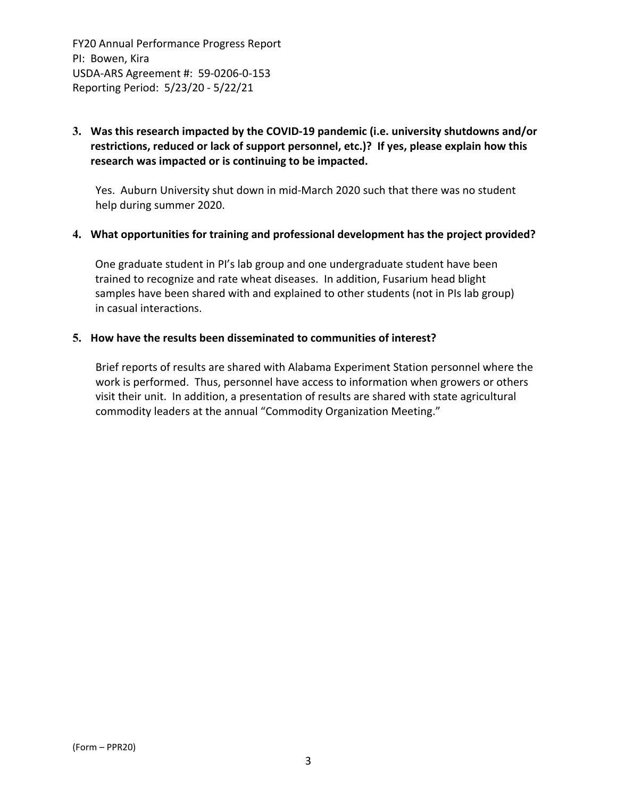## **3. Was this research impacted by the COVID‐19 pandemic (i.e. university shutdowns and/or restrictions, reduced or lack of support personnel, etc.)? If yes, please explain how this research was impacted or is continuing to be impacted.**

Yes. Auburn University shut down in mid‐March 2020 such that there was no student help during summer 2020.

#### **4. What opportunities for training and professional development has the project provided?**

One graduate student in PI's lab group and one undergraduate student have been trained to recognize and rate wheat diseases. In addition, Fusarium head blight samples have been shared with and explained to other students (not in PIs lab group) in casual interactions.

#### **5. How have the results been disseminated to communities of interest?**

Brief reports of results are shared with Alabama Experiment Station personnel where the work is performed. Thus, personnel have access to information when growers or others visit their unit. In addition, a presentation of results are shared with state agricultural commodity leaders at the annual "Commodity Organization Meeting."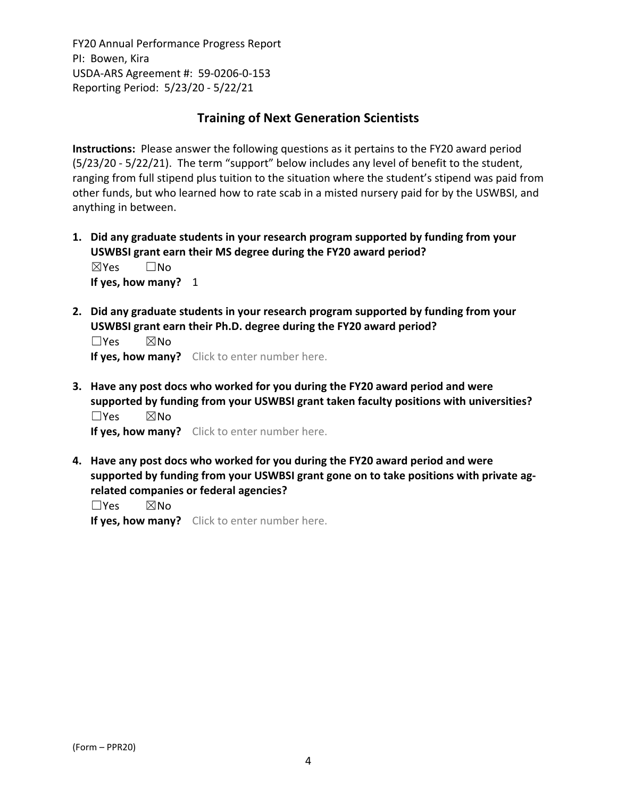# **Training of Next Generation Scientists**

**Instructions:** Please answer the following questions as it pertains to the FY20 award period (5/23/20 ‐ 5/22/21). The term "support" below includes any level of benefit to the student, ranging from full stipend plus tuition to the situation where the student's stipend was paid from other funds, but who learned how to rate scab in a misted nursery paid for by the USWBSI, and anything in between.

- **1. Did any graduate students in your research program supported by funding from your USWBSI grant earn their MS degree during the FY20 award period?** ☒Yes ☐No **If yes, how many?** 1
- **2. Did any graduate students in your research program supported by funding from your USWBSI grant earn their Ph.D. degree during the FY20 award period?**

 $\square$ Yes  $\square$ No **If yes, how many?** Click to enter number here.

**3. Have any post docs who worked for you during the FY20 award period and were supported by funding from your USWBSI grant taken faculty positions with universities?** ☐Yes ☒No

**If yes, how many?** Click to enter number here.

**4. Have any post docs who worked for you during the FY20 award period and were supported by funding from your USWBSI grant gone on to take positions with private ag‐ related companies or federal agencies?**

☐Yes ☒No

**If yes, how many?** Click to enter number here.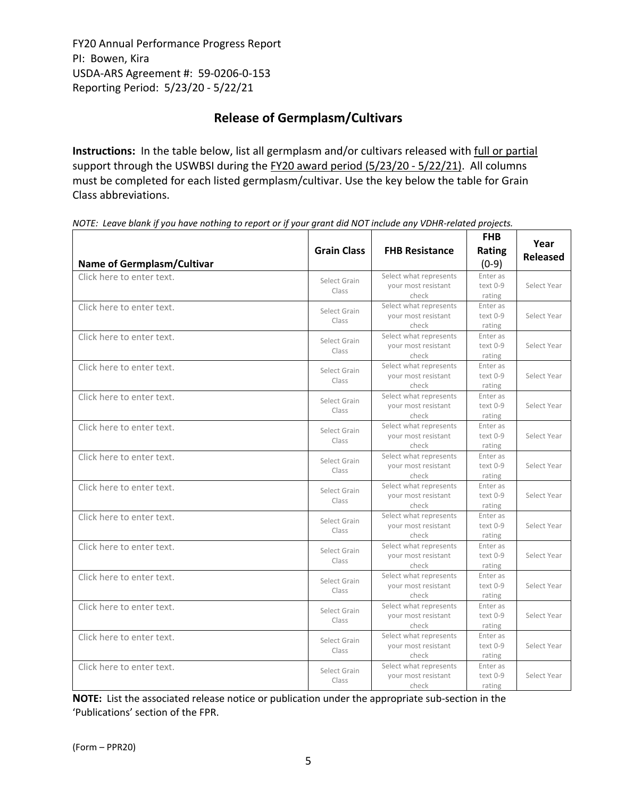# **Release of Germplasm/Cultivars**

**Instructions:** In the table below, list all germplasm and/or cultivars released with full or partial support through the USWBSI during the FY20 award period (5/23/20 - 5/22/21). All columns must be completed for each listed germplasm/cultivar. Use the key below the table for Grain Class abbreviations. 

| <b>Name of Germplasm/Cultivar</b> | <b>Grain Class</b>    | <b>FHB Resistance</b>                                  | <b>FHB</b><br><b>Rating</b><br>$(0-9)$ | Year<br><b>Released</b> |
|-----------------------------------|-----------------------|--------------------------------------------------------|----------------------------------------|-------------------------|
| Click here to enter text.         | Select Grain<br>Class | Select what represents<br>your most resistant<br>check | Enter as<br>$text 0-9$<br>rating       | Select Year             |
| Click here to enter text.         | Select Grain<br>Class | Select what represents<br>vour most resistant<br>check | Enter as<br>text 0-9<br>rating         | Select Year             |
| Click here to enter text.         | Select Grain<br>Class | Select what represents<br>your most resistant<br>check | Enter as<br>text 0-9<br>rating         | Select Year             |
| Click here to enter text.         | Select Grain<br>Class | Select what represents<br>your most resistant<br>check | Enter as<br>text 0-9<br>rating         | Select Year             |
| Click here to enter text.         | Select Grain<br>Class | Select what represents<br>your most resistant<br>check | Enter as<br>text 0-9<br>rating         | Select Year             |
| Click here to enter text.         | Select Grain<br>Class | Select what represents<br>your most resistant<br>check | Enter as<br>text 0-9<br>rating         | Select Year             |
| Click here to enter text.         | Select Grain<br>Class | Select what represents<br>your most resistant<br>check | Enter as<br>text 0-9<br>rating         | Select Year             |
| Click here to enter text.         | Select Grain<br>Class | Select what represents<br>your most resistant<br>check | Enter as<br>text 0-9<br>rating         | Select Year             |
| Click here to enter text.         | Select Grain<br>Class | Select what represents<br>your most resistant<br>check | Enter as<br>text 0-9<br>rating         | Select Year             |
| Click here to enter text.         | Select Grain<br>Class | Select what represents<br>vour most resistant<br>check | Enter as<br>$text 0-9$<br>rating       | Select Year             |
| Click here to enter text.         | Select Grain<br>Class | Select what represents<br>your most resistant<br>check | Enter as<br>text 0-9<br>rating         | Select Year             |
| Click here to enter text.         | Select Grain<br>Class | Select what represents<br>your most resistant<br>check | Enter as<br>text 0-9<br>rating         | Select Year             |
| Click here to enter text.         | Select Grain<br>Class | Select what represents<br>your most resistant<br>check | Enter as<br>text 0-9<br>rating         | Select Year             |
| Click here to enter text.         | Select Grain<br>Class | Select what represents<br>your most resistant<br>check | Enter as<br>text 0-9<br>rating         | Select Year             |

NOTE: Leave blank if you have nothing to report or if your grant did NOT include any VDHR-related projects.

**NOTE:** List the associated release notice or publication under the appropriate sub-section in the 'Publications' section of the FPR.